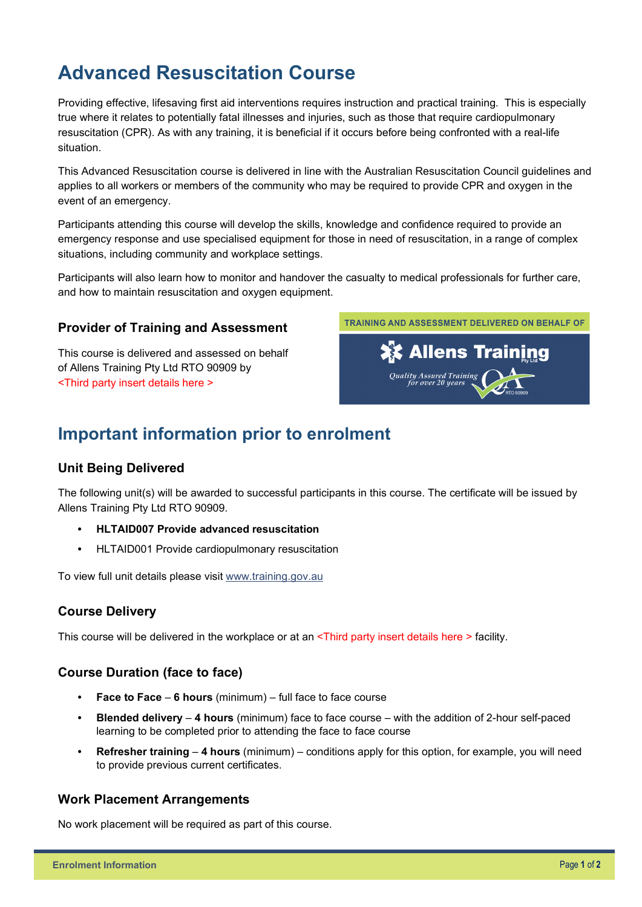# **Advanced Resuscitation Course**

Providing effective, lifesaving first aid interventions requires instruction and practical training. This is especially true where it relates to potentially fatal illnesses and injuries, such as those that require cardiopulmonary resuscitation (CPR). As with any training, it is beneficial if it occurs before being confronted with a real-life situation.

This Advanced Resuscitation course is delivered in line with the Australian Resuscitation Council guidelines and applies to all workers or members of the community who may be required to provide CPR and oxygen in the event of an emergency.

Participants attending this course will develop the skills, knowledge and confidence required to provide an emergency response and use specialised equipment for those in need of resuscitation, in a range of complex situations, including community and workplace settings.

Participants will also learn how to monitor and handover the casualty to medical professionals for further care, and how to maintain resuscitation and oxygen equipment.

#### **Provider of Training and Assessment**

This course is delivered and assessed on behalf of Allens Training Pty Ltd RTO 90909 by <Third party insert details here >



## **Important information prior to enrolment**

#### **Unit Being Delivered**

The following unit(s) will be awarded to successful participants in this course. The certificate will be issued by Allens Training Pty Ltd RTO 90909.

- **HLTAID007 Provide advanced resuscitation**
- HLTAID001 Provide cardiopulmonary resuscitation

To view full unit details please visit [www.training.gov.au](https://training.gov.au/Training/Details/HLTAID001) 

#### **Course Delivery**

This course will be delivered in the workplace or at an <Third party insert details here > facility.

#### **Course Duration (face to face)**

- **Face to Face 6 hours** (minimum) full face to face course
- **Blended delivery 4 hours** (minimum) face to face course with the addition of 2-hour self-paced learning to be completed prior to attending the face to face course
- **Refresher training 4 hours** (minimum) conditions apply for this option, for example, you will need to provide previous current certificates.

#### **Work Placement Arrangements**

No work placement will be required as part of this course.